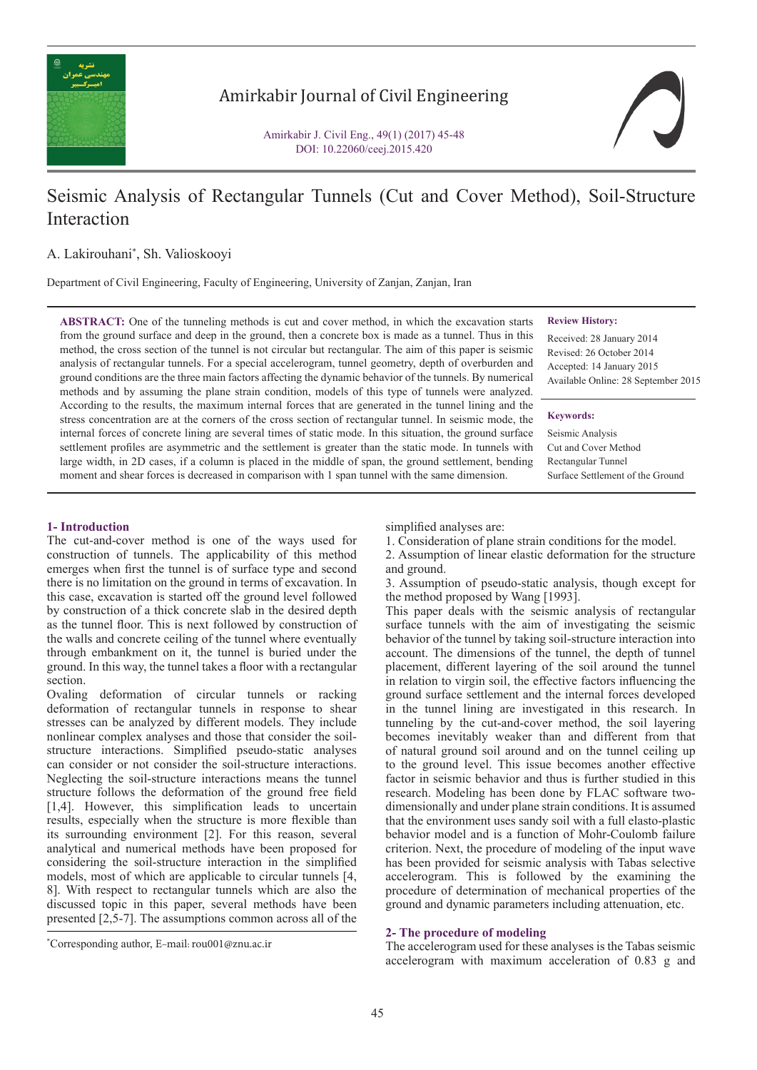

## Amirkabir Journal of Civil Engineering

Amirkabir J. Civil Eng., 49(1) (2017) 45-48 DOI: 10.22060/ceej.2015.420



# Seismic Analysis of Rectangular Tunnels (Cut and Cover Method), Soil-Structure Interaction

### A. Lakirouhani\* , Sh. Valioskooyi

Department of Civil Engineering, Faculty of Engineering, University of Zanjan, Zanjan, Iran

**ABSTRACT:** One of the tunneling methods is cut and cover method, in which the excavation starts from the ground surface and deep in the ground, then a concrete box is made as a tunnel. Thus in this method, the cross section of the tunnel is not circular but rectangular. The aim of this paper is seismic analysis of rectangular tunnels. For a special accelerogram, tunnel geometry, depth of overburden and ground conditions are the three main factors affecting the dynamic behavior of the tunnels. By numerical methods and by assuming the plane strain condition, models of this type of tunnels were analyzed. According to the results, the maximum internal forces that are generated in the tunnel lining and the stress concentration are at the corners of the cross section of rectangular tunnel. In seismic mode, the internal forces of concrete lining are several times of static mode. In this situation, the ground surface settlement profiles are asymmetric and the settlement is greater than the static mode. In tunnels with large width, in 2D cases, if a column is placed in the middle of span, the ground settlement, bending moment and shear forces is decreased in comparison with 1 span tunnel with the same dimension.

**Review History:**

Received: 28 January 2014 Revised: 26 October 2014 Accepted: 14 January 2015 Available Online: 28 September 2015

#### **Keywords:**

Seismic Analysis Cut and Cover Method Rectangular Tunnel Surface Settlement of the Ground

#### **1- Introduction**

The cut-and-cover method is one of the ways used for construction of tunnels. The applicability of this method emerges when first the tunnel is of surface type and second there is no limitation on the ground in terms of excavation. In this case, excavation is started off the ground level followed by construction of a thick concrete slab in the desired depth as the tunnel floor. This is next followed by construction of the walls and concrete ceiling of the tunnel where eventually through embankment on it, the tunnel is buried under the ground. In this way, the tunnel takes a floor with a rectangular section.

Ovaling deformation of circular tunnels or racking deformation of rectangular tunnels in response to shear stresses can be analyzed by different models. They include nonlinear complex analyses and those that consider the soilstructure interactions. Simplified pseudo-static analyses can consider or not consider the soil-structure interactions. Neglecting the soil-structure interactions means the tunnel structure follows the deformation of the ground free field [1,4]. However, this simplification leads to uncertain results, especially when the structure is more flexible than its surrounding environment [2]. For this reason, several analytical and numerical methods have been proposed for considering the soil-structure interaction in the simplified models, most of which are applicable to circular tunnels [4, 8]. With respect to rectangular tunnels which are also the discussed topic in this paper, several methods have been presented [2,5-7]. The assumptions common across all of the simplified analyses are:

1. Consideration of plane strain conditions for the model.

2. Assumption of linear elastic deformation for the structure and ground.

3. Assumption of pseudo-static analysis, though except for the method proposed by Wang [1993].

This paper deals with the seismic analysis of rectangular surface tunnels with the aim of investigating the seismic behavior of the tunnel by taking soil-structure interaction into account. The dimensions of the tunnel, the depth of tunnel placement, different layering of the soil around the tunnel in relation to virgin soil, the effective factors influencing the ground surface settlement and the internal forces developed in the tunnel lining are investigated in this research. In tunneling by the cut-and-cover method, the soil layering becomes inevitably weaker than and different from that of natural ground soil around and on the tunnel ceiling up to the ground level. This issue becomes another effective factor in seismic behavior and thus is further studied in this research. Modeling has been done by FLAC software twodimensionally and under plane strain conditions. It is assumed that the environment uses sandy soil with a full elasto-plastic behavior model and is a function of Mohr-Coulomb failure criterion. Next, the procedure of modeling of the input wave has been provided for seismic analysis with Tabas selective accelerogram. This is followed by the examining the procedure of determination of mechanical properties of the ground and dynamic parameters including attenuation, etc.

#### **2- The procedure of modeling**

The accelerogram used for these analyses is the Tabas seismic accelerogram with maximum acceleration of 0.83 g and

<sup>\*</sup> Corresponding author, E-mail: rou001@znu.ac.ir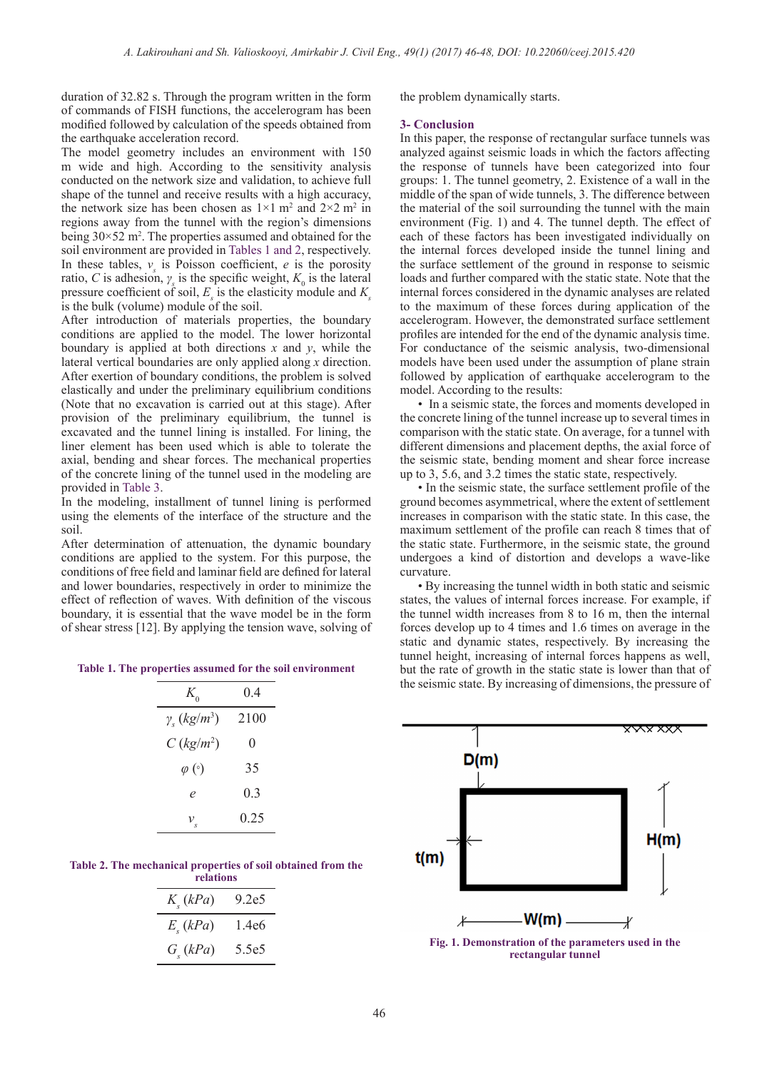duration of 32.82 s. Through the program written in the form of commands of FISH functions, the accelerogram has been modified followed by calculation of the speeds obtained from the earthquake acceleration record.

The model geometry includes an environment with 150 m wide and high. According to the sensitivity analysis conducted on the network size and validation, to achieve full shape of the tunnel and receive results with a high accuracy, the network size has been chosen as  $1 \times 1$  m<sup>2</sup> and  $2 \times 2$  m<sup>2</sup> in regions away from the tunnel with the region's dimensions being  $30 \times 52$  m<sup>2</sup>. The properties assumed and obtained for the soil environment are provided in Tables 1 and 2, respectively. In these tables,  $v_s$  is Poisson coefficient, *e* is the porosity ratio, *C* is adhesion,  $\gamma_s$  is the specific weight,  $K_0$  is the lateral pressure coefficient of soil,  $E<sub>s</sub>$  is the elasticity module and  $K<sub>s</sub>$ is the bulk (volume) module of the soil.

After introduction of materials properties, the boundary conditions are applied to the model. The lower horizontal boundary is applied at both directions  $x$  and  $y$ , while the lateral vertical boundaries are only applied along *x* direction. After exertion of boundary conditions, the problem is solved elastically and under the preliminary equilibrium conditions (Note that no excavation is carried out at this stage). After provision of the preliminary equilibrium, the tunnel is excavated and the tunnel lining is installed. For lining, the liner element has been used which is able to tolerate the axial, bending and shear forces. The mechanical properties of the concrete lining of the tunnel used in the modeling are provided in Table 3.

In the modeling, installment of tunnel lining is performed using the elements of the interface of the structure and the soil.

After determination of attenuation, the dynamic boundary conditions are applied to the system. For this purpose, the conditions of free field and laminar field are defined for lateral and lower boundaries, respectively in order to minimize the effect of reflection of waves. With definition of the viscous boundary, it is essential that the wave model be in the form of shear stress [12]. By applying the tension wave, solving of

**Table 1. The properties assumed for the soil environment**

| 04             |
|----------------|
| 2100           |
| 0              |
| 35             |
| 0 <sup>3</sup> |
| 0.25           |
|                |

**Table 2. The mechanical properties of soil obtained from the relations**

| темпиль          |                   |  |  |  |  |
|------------------|-------------------|--|--|--|--|
| $K_{\rm s}(kPa)$ | 9.2e5             |  |  |  |  |
| $E_{s}(kPa)$     | 1.4e6             |  |  |  |  |
| $G_{\rm c}(kPa)$ | 5 5e <sub>5</sub> |  |  |  |  |

the problem dynamically starts.

#### **3- Conclusion**

In this paper, the response of rectangular surface tunnels was analyzed against seismic loads in which the factors affecting the response of tunnels have been categorized into four groups: 1. The tunnel geometry, 2. Existence of a wall in the middle of the span of wide tunnels, 3. The difference between the material of the soil surrounding the tunnel with the main environment (Fig. 1) and 4. The tunnel depth. The effect of each of these factors has been investigated individually on the internal forces developed inside the tunnel lining and the surface settlement of the ground in response to seismic loads and further compared with the static state. Note that the internal forces considered in the dynamic analyses are related to the maximum of these forces during application of the accelerogram. However, the demonstrated surface settlement profiles are intended for the end of the dynamic analysis time. For conductance of the seismic analysis, two-dimensional models have been used under the assumption of plane strain followed by application of earthquake accelerogram to the model. According to the results:

• In a seismic state, the forces and moments developed in the concrete lining of the tunnel increase up to several times in comparison with the static state. On average, for a tunnel with different dimensions and placement depths, the axial force of the seismic state, bending moment and shear force increase up to 3, 5.6, and 3.2 times the static state, respectively.

• In the seismic state, the surface settlement profile of the ground becomes asymmetrical, where the extent of settlement increases in comparison with the static state. In this case, the maximum settlement of the profile can reach 8 times that of the static state. Furthermore, in the seismic state, the ground undergoes a kind of distortion and develops a wave-like curvature.

• By increasing the tunnel width in both static and seismic states, the values of internal forces increase. For example, if the tunnel width increases from 8 to 16 m, then the internal forces develop up to 4 times and 1.6 times on average in the static and dynamic states, respectively. By increasing the tunnel height, increasing of internal forces happens as well, but the rate of growth in the static state is lower than that of the seismic state. By increasing of dimensions, the pressure of



**rectangular tunnel**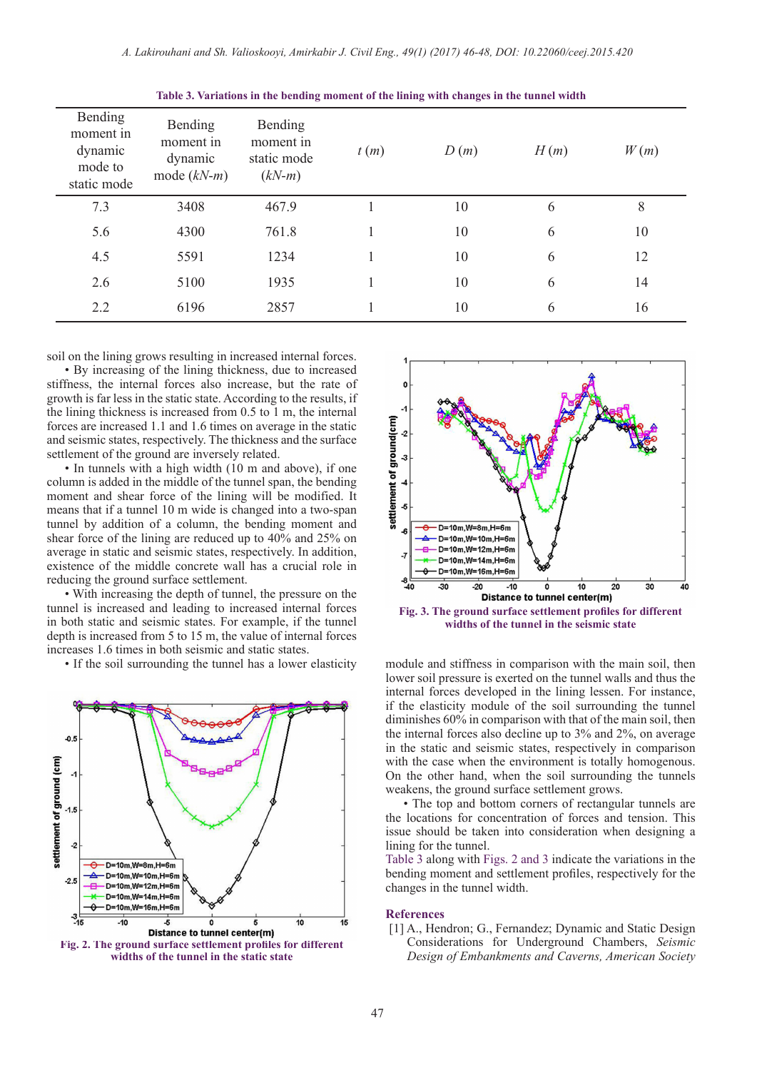| Bending<br>moment in<br>dynamic<br>mode to<br>static mode | <b>Bending</b><br>moment in<br>dynamic<br>mode $(kN-m)$ | Bending<br>moment in<br>static mode<br>$(kN-m)$ | t(m) | D(m) | H(m) | W(m) |
|-----------------------------------------------------------|---------------------------------------------------------|-------------------------------------------------|------|------|------|------|
| 7.3                                                       | 3408                                                    | 467.9                                           |      | 10   | 6    | 8    |
| 5.6                                                       | 4300                                                    | 761.8                                           |      | 10   | 6    | 10   |
| 4.5                                                       | 5591                                                    | 1234                                            |      | 10   | 6    | 12   |
| 2.6                                                       | 5100                                                    | 1935                                            |      | 10   | 6    | 14   |
| 2.2                                                       | 6196                                                    | 2857                                            |      | 10   | 6    | 16   |

**Table 3. Variations in the bending moment of the lining with changes in the tunnel width**

soil on the lining grows resulting in increased internal forces.

• By increasing of the lining thickness, due to increased stiffness, the internal forces also increase, but the rate of growth is far less in the static state. According to the results, if the lining thickness is increased from 0.5 to 1 m, the internal forces are increased 1.1 and 1.6 times on average in the static and seismic states, respectively. The thickness and the surface settlement of the ground are inversely related.

• In tunnels with a high width (10 m and above), if one column is added in the middle of the tunnel span, the bending moment and shear force of the lining will be modified. It means that if a tunnel 10 m wide is changed into a two-span tunnel by addition of a column, the bending moment and shear force of the lining are reduced up to 40% and 25% on average in static and seismic states, respectively. In addition, existence of the middle concrete wall has a crucial role in reducing the ground surface settlement.

• With increasing the depth of tunnel, the pressure on the tunnel is increased and leading to increased internal forces in both static and seismic states. For example, if the tunnel depth is increased from 5 to 15 m, the value of internal forces increases 1.6 times in both seismic and static states.



**Fig. 2. The ground surface settlement profiles for different widths of the tunnel in the static state**



**Fig. 3. The ground surface settlement profiles for different widths of the tunnel in the seismic state**

• If the soil surrounding the tunnel has a lower elasticity module and stiffness in comparison with the main soil, then lower soil pressure is exerted on the tunnel walls and thus the internal forces developed in the lining lessen. For instance, if the elasticity module of the soil surrounding the tunnel diminishes 60% in comparison with that of the main soil, then the internal forces also decline up to 3% and 2%, on average in the static and seismic states, respectively in comparison with the case when the environment is totally homogenous. On the other hand, when the soil surrounding the tunnels weakens, the ground surface settlement grows.

• The top and bottom corners of rectangular tunnels are the locations for concentration of forces and tension. This issue should be taken into consideration when designing a lining for the tunnel.

Table 3 along with Figs. 2 and 3 indicate the variations in the bending moment and settlement profiles, respectively for the changes in the tunnel width.

#### **References**

[1] A., Hendron; G., Fernandez; Dynamic and Static Design Considerations for Underground Chambers, *Seismic Design of Embankments and Caverns, American Society*